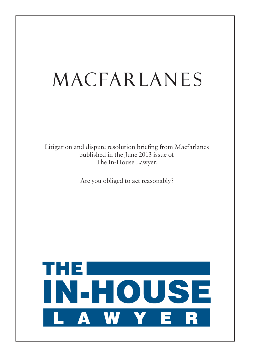# MACFARLANES

Litigation and dispute resolution briefing from Macfarlanes published in the June 2013 issue of The In-House Lawyer:

Are you obliged to act reasonably?

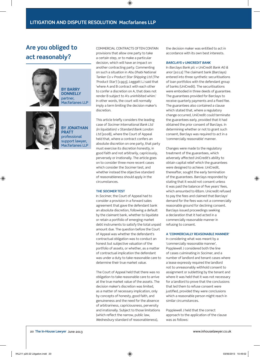# **Are you obliged to act reasonably?**



**BY Barry Donnelly** partner, Macfarlanes LLP



**BY JOnathan Pratt** professional support lawyer, Macfarlanes LLP

Commercial contracts often contain provisions that allow one party to take a certain step, or to make a particular decision, which will have an impact on another contracting party. Commenting on such a situation in *Abu Dhabi National Tanker Co v Product Star Shipping Ltd (The 'Product Star')* [1993], Leggatt LJ said that 'where A and B contract with each other to confer a discretion on A, that does not render B subject to A's uninhibited whim.' In other words, the court will normally imply a term limiting the decision maker's discretion.

This article briefly considers the leading case of *Socimer International Bank Ltd (in liquidation) v Standard Bank London Ltd* [2008], where the Court of Appeal held that, where a contract confers an absolute discretion on one party, that party must exercise its discretion honestly, in good faith and not arbitrarily, capriciously, perversely or irrationally. The article goes on to consider three more recent cases which consider the *Socimer* test, and whether instead the objective standard of reasonableness should apply in the circumstances.

#### **The** *Socimer* **Test**

In *Socimer*, the Court of Appeal had to consider a provision in a forward sales agreement that gave the defendant bank an absolute discretion, following a default by the claimant bank, whether to liquidate or retain a portfolio of emerging market debt instruments to satisfy the total unpaid amount due. The question before the Court of Appeal was whether the defendant's contractual obligation was to conduct an honest but subjective valuation of the portfolio of assets, or whether, as a matter of contractual implication the defendant was under a duty to take reasonable care to determine their true market value.

The Court of Appeal held that there was no obligation to take reasonable care to arrive at the true market value of the assets. The decision maker's discretion was limited, as a matter of necessary implication, only by concepts of honesty, good faith, and genuineness and the need for the absence of arbitrariness, capriciousness, perversity and irrationally. Subject to those limitations (which reflect the narrow, public law, *Wednesbury* standard of reasonableness),

the decision maker was entitled to act in accordance with its own best interests.

## *Barclays v UniCredit Bank*

In *Barclays Bank plc v UniCredit Bank AG & anor* [2012] The claimant bank (Barclays) entered into three synthetic securitisations of loan portfolios with the defendant group of banks (UniCredit). The securitisations were embodied in three deeds of guarantee. The guarantees provided for Barclays to receive quarterly payments and a fixed fee. The guarantees also contained a clause which stated that, where a regulatory change occurred, UniCredit could terminate the guarantees early, provided that it had obtained the prior consent of Barclays. In determining whether or not to grant such consent, Barclays was required to act in a 'commercially reasonable' manner.

Changes were made to the regulatory treatment of the guarantees, which adversely affected UniCredit's ability to obtain capital relief which the guarantees were designed to achieve. UniCredit, thereafter, sought the early termination of the guarantees. Barclays responded by stating that it would not consent unless it was paid the balance of five years' fees, which amounted to €82m. Unicredit refused to pay the fees and claimed that Barclays' demand for the fees was not a commercially reasonable ground for declining consent. Barclays issued proceedings seeking a declaration that it had acted in a commercially reasonable manner in refusing to consent.

#### **A 'commercially reasonable manner'**

In considering what was meant by a 'commercially reasonable manner', Popplewell J considered both the line of cases culminating in *Socimer*, and a number of landlord and tenant cases where a lease expressly required the landlord not to unreasonably withhold consent to assignment or subletting by the tenant and where it was held that it was not necessary for a landlord to prove that the conclusions that led them to refuse consent were justified, provided they were conclusions which a reasonable person might reach in similar circumstances.

Popplewell J held that the correct approach to the application of the clause was as follows: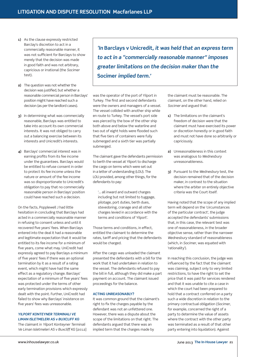- **1)** As the clause expressly restricted Barclay's discretion to act in a commercially reasonable manner, it was not sufficient for Barclays to show merely that the decision was made in good faith and was not arbitrary, capricious or irrational (the *Socimer*  test).
- **2)** The question was not whether the decision was justified, but whether a reasonable commercial person in Barclays' position might have reached such a decision (as per the landlord cases).
- **3)** In determining what was commercially reasonable, Barclays was entitled to take into account its own commercial interests. It was not obliged to carry out a balancing exercise between its interests and Unicredit's interests.
- **4)** Barclays' commercial interest was in earning profits from its fee income under the guarantees. Barclays would be entitled to refuse consent in order to protect its fee income unless the nature or amount of the fee income was so disproportionate to Unicredit's obligation to pay that no commercially reasonable person in Barclays' position could have reached such a decision.

 On the facts, Popplewell J had little hesitation in concluding that Barclays had acted in a commercially reasonable manner in refusing to consent unless and until it recovered five years' fees. When Barclays entered into the deal it had a reasonable and legitimate expectation that it would be entitled to its fee income for a minimum of five years, come what may. UniCredit had expressly agreed to pay Barclays a minimum of five years' fees if there was an optional termination by it as a result of a rating event, which might have had the same effect as a regulatory change. Barclays' expectation of a minimum of five years' fees was protected under the terms of other early termination provisions which expressly dealt with the point. Further, UniCredit had failed to show why Barclays' insistence on five years' fees was unreasonable.

# *YILPORT KONTEYNER TERMINALI VE LIMAN ISLETMELERI AS v BUXCLIFF KG*

 The claimant in *Yilport Konteyner Terminali Ve Liman Isletmeleri AS v Buxcliff KG* [2012]

*'In* **Barclays v Unicredit***, it was held that an express term to act in a "commercially reasonable manner" imposes greater limitations on the decision maker than the*  **Socimer** *implied term.'*

was the operator of the port of Yilport in Turkey. The first and second defendants were the owners and managers of a vessel. The vessel collided with another ship while en route to Turkey. The vessel's port side was pierced by the bow of the other ship both above and below the waterline and two out of eight holds were flooded such that five tiers of containers were fully submerged and a sixth tier was partially submerged.

 The claimant gave the defendants permission to berth the vessel at Yilport to discharge the cargo on terms which were set out in a letter of understanding (LOU). The LOU provided, among other things, for the defendants to pay:

 '… all inward and outward charges including but not limited to tuggage, pilotage, port duties, berth dues, stevedoring, cranage and all other charges levied in accordance with the terms and conditions of Yilport'.

Those terms and conditions, in effect, entitled the claimant to determine the rates, tariff and pricing that the defendants would be charged.

 After the cargo was unloaded the claimant presented the defendants with a bill for the work that it had undertaken in relation to the vessel. The defendants refused to pay the bill in full, although they did make a part payment on account. The claimant issued proceedings for the balance.

# **ACTING UNREASONABLY?**

 It was common ground that the claimant's right to fix the charges payable by the defendant was not an unfettered one. However, there was a dispute about the scope of the limitations on that right. The defendants argued that there was an implied term that the charges made by

the claimant must be reasonable. The claimant, on the other hand, relied on *Socimer* and argued that:

- **1)** The limitations on the claimant's freedom of decision were that the claimant must have exercised its power or discretion honestly or in good faith and must not have done so arbitrarily or capriciously.
- **2)** Unreasonableness in this context was analogous to *Wednesbury*  unreasonableness.
- **3)** Pursuant to the *Wednesbury* test, the decision remained that of the decision maker, in contrast to the situation where the arbiter on entirely objective criteria was the Court itself.

 Having noted that the scope of any implied term will depend on the 'circumstances of the particular contract', the judge accepted the defendants' submissions that, in this case, the relevant test was one of reasonableness, in the broader objective sense, rather than the narrower *Wednesbury* standard of reasonableness (which, in *Socimer*, was equated with 'rationality').

 In reaching this conclusion, the judge was influenced by the fact that the claimant was claiming, subject only to very limited restrictions, to have the right to set the price that it was paid for services rendered and that it was unable to cite a case in which the court had been prepared to hold that a contract conferred on a party such a wide discretion in relation to the primary contractual obligation ( *Socimer* , for example, concerned the right of a party to determine the value of assets where the contract with the other party was terminated as a result of that other party entering into liquidation). Against